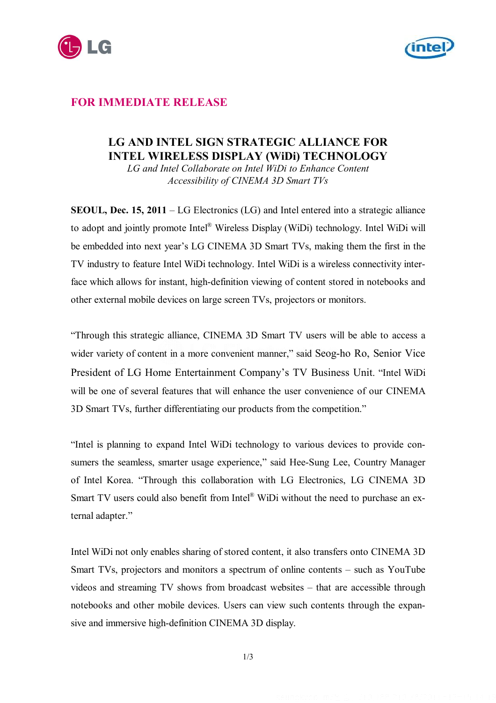



## **FOR IMMEDIATE RELEASE**

# **LG AND INTEL SIGN STRATEGIC ALLIANCE FOR INTEL WIRELESS DISPLAY (WiDi) TECHNOLOGY**

*LG and Intel Collaborate on Intel WiDi to Enhance Content Accessibility of CINEMA 3D Smart TVs*

**SEOUL, Dec. 15, 2011** – LG Electronics (LG) and Intel entered into a strategic alliance to adopt and jointly promote Intel® Wireless Display (WiDi) technology. Intel WiDi will be embedded into next year's LG CINEMA 3D Smart TVs, making them the first in the TV industry to feature Intel WiDi technology. Intel WiDi is a wireless connectivity interface which allows for instant, high-definition viewing of content stored in notebooks and other external mobile devices on large screen TVs, projectors or monitors.

"Through this strategic alliance, CINEMA 3D Smart TV users will be able to access a wider variety of content in a more convenient manner," said Seog-ho Ro, Senior Vice President of LG Home Entertainment Company's TV Business Unit. "Intel WiDi will be one of several features that will enhance the user convenience of our CINEMA 3D Smart TVs, further differentiating our products from the competition."

"Intel is planning to expand Intel WiDi technology to various devices to provide consumers the seamless, smarter usage experience," said Hee-Sung Lee, Country Manager of Intel Korea. "Through this collaboration with LG Electronics, LG CINEMA 3D Smart TV users could also benefit from Intel® WiDi without the need to purchase an external adapter."

Intel WiDi not only enables sharing of stored content, it also transfers onto CINEMA 3D Smart TVs, projectors and monitors a spectrum of online contents – such as YouTube videos and streaming TV shows from broadcast websites – that are accessible through notebooks and other mobile devices. Users can view such contents through the expansive and immersive high-definition CINEMA 3D display.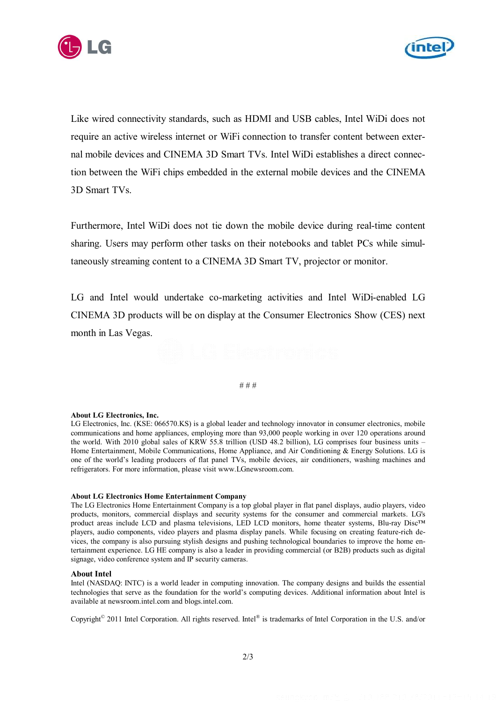



Like wired connectivity standards, such as HDMI and USB cables, Intel WiDi does not require an active wireless internet or WiFi connection to transfer content between external mobile devices and CINEMA 3D Smart TVs. Intel WiDi establishes a direct connection between the WiFi chips embedded in the external mobile devices and the CINEMA 3D Smart TVs.

Furthermore, Intel WiDi does not tie down the mobile device during real-time content sharing. Users may perform other tasks on their notebooks and tablet PCs while simultaneously streaming content to a CINEMA 3D Smart TV, projector or monitor.

LG and Intel would undertake co-marketing activities and Intel WiDi-enabled LG CINEMA 3D products will be on display at the Consumer Electronics Show (CES) next month in Las Vegas.

# # #

#### **About LG Electronics, Inc.**

LG Electronics, Inc. (KSE: 066570.KS) is a global leader and technology innovator in consumer electronics, mobile communications and home appliances, employing more than 93,000 people working in over 120 operations around the world. With 2010 global sales of KRW 55.8 trillion (USD 48.2 billion), LG comprises four business units – Home Entertainment, Mobile Communications, Home Appliance, and Air Conditioning & Energy Solutions. LG is one of the world's leading producers of flat panel TVs, mobile devices, air conditioners, washing machines and refrigerators. For more information, please visit www.LGnewsroom.com.

#### **About LG Electronics Home Entertainment Company**

The LG Electronics Home Entertainment Company is a top global player in flat panel displays, audio players, video products, monitors, commercial displays and security systems for the consumer and commercial markets. LG's product areas include LCD and plasma televisions, LED LCD monitors, home theater systems, Blu-ray Disc™ players, audio components, video players and plasma display panels. While focusing on creating feature-rich devices, the company is also pursuing stylish designs and pushing technological boundaries to improve the home entertainment experience. LG HE company is also a leader in providing commercial (or B2B) products such as digital signage, video conference system and IP security cameras.

### **About Intel**

Intel (NASDAQ: INTC) is a world leader in computing innovation. The company designs and builds the essential technologies that serve as the foundation for the world's computing devices. Additional information about Intel is available at newsroom.intel.com and blogs.intel.com.

Copyright<sup>©</sup> 2011 Intel Corporation. All rights reserved. Intel® is trademarks of Intel Corporation in the U.S. and/or